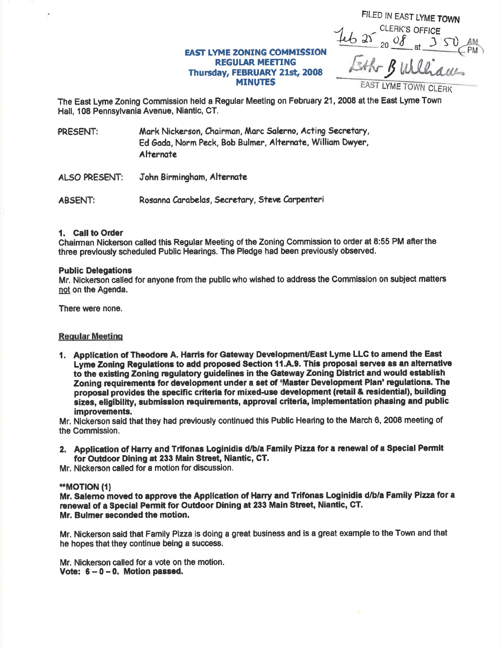FILED IN EAST LYME TOWN  $46$  at  $20$   $9$   $\frac{0}{4}$  at  $3$   $50$ PM LAhr Bulliam

## **EAST LYME ZONING COMMISSION** REGUIAR MEETING Thursday, FEBRUARY 21st, 2008

MINUTES EAST LYME TOWN CLERK

The East Lyme Zonlng Commission held a Regular Meetlng on February 21, 2008 at the East Lyme Town Hall, 108 Pennsylvania Avenue, Niantic, CT.

- PRESENT: Mark Nickerson, Chairman, Marc Salerno, Acting Secretary, Ed Gada, Norm Peck. Bob Bulmer, Alternate, William Dwyer, **Alternate**
- ALSO PRESENT: John Birmingham, Alternate

ABSENT: Rosanna Carabelas, Secretary, Steve Carpenteri

#### 1. Call to Order

Ghairman Nickerson called this Regular Meeting of the Zoning Commission to oder at 8:55 PM afterthe three prevlously soheduled Public Hearings. The Pledge had been previously observed.

#### Public Delegations

Mr. Nickerson called for anyone from the public who wished to address the Commission on subject matters not on the Agenda.

There were none.

#### **Regular Meeting**

1. Application of Theodore A. Harris for Gateway Development/East Lyme LLC to amend the East Lyme Zoning Regulations to add proposed Section 11.A.9. This proposal serves as an alternative to the existing Zoning regulatory guidelines in the Gateway Zoning District and would establish Zoning requirements for development under a set of 'Master Development Plan' regulations. The proposal provides the specific criteria for mixed-use development (retail & residential), building sizes, eligibility, submission requirements, approval criteria, implementation phasing and public improvements.

Mr. Nickerson said that they had previously continued this Public Hearing to the March 6, 2008 meeting of the Commission.

2. Application of Harry and Trifonas Loginidis d/b/a Family Pizza for a renewal of a Special Permit for Outdoor Dining at 233 Main Street, Niantic, CT.

Mr. Nickerson called for a motion for discussion,

#### \*rMoTloN (t)

Mr. Salemo moved to approve the Application of Harry and Trifonas Loginidis d/b/a Family Pizza for a renewal of a Special Permit for Outdoor Dining at 233 Main Street, Niantic, CT. Mr. Bulmer seconded the motion.

Mr. Nickerson said that Family Pizza is doing a great business and is a great example to the Town and that he hopes that they continue being a success.

Mr. Nickerson called for a vote on the motion. Vote:  $6 - 0 - 0$ . Motion passed.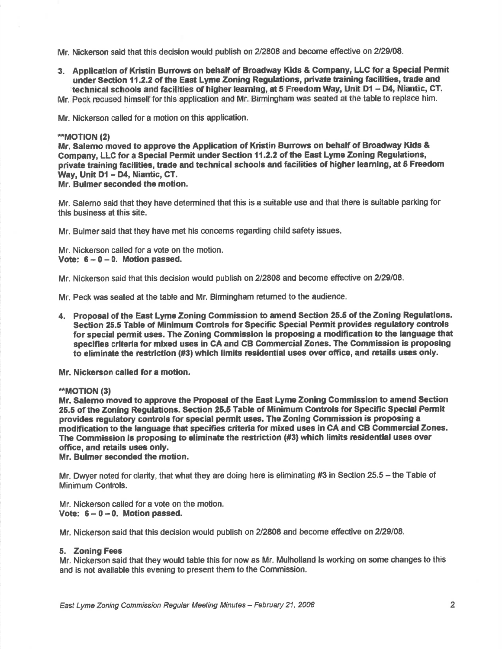Mr. Nickerson said that this decision would publish on 2/2808 and become effective on 2/29/08.

3. Application of Kristin Bunows on behalf of Broadway Kids & Company, LLC for a Special Permit under Section 11.2.2 of the East Lyme Zoning Regulations, private training facilifies, trade and technical schools and facilities of higher learning, at 5 Freedom Way, Unit D1 - D4, Niantic, CT.

Mr. Peck recused himself forthis application and Mr. Birmingham was seated at the table to replace him.

Mr. Nickerson oalled for a motion on this application.

#### \*\*MOTION (2)

Mr. Salemo moved to approve the Application of Kristin Burrows on behalf of Broadway Kids & Gompany, LLC for a Special Permit under Section 11.2.2 of the East Lyme Zoning Regulationc, private training facilities, trade and technical schools and facilities of higher learning, at 5 Freedom Way, Unit D1 - D4, Niantic, CT.

Mr. Bulmer seconded the motion.

Mr. Salemo said that they have determined that this is a suitable use and that there is suitable parking for this business at this site.

Mr. Bulmer seid that they have met his concems regarding child safety issues.

Mr. Nickerson called for a vote on the motion. Vote:  $6 - 0 - 0$ . Motion passed.

Mr. Nickerson said that this decision would publish on 2/2808 and become effective on 2/29/08.

Mr. Peck was seated at the table and Mr. Birmingham retumed to the audience.

4. Proposal of the East Lyme Zoning Commission to amend Section 25.5 of the Zoning Regulations. Section 25.5 Table of Minimum Controls for Specific Special Permit provides regulatory controls for special permit uses. The Zoning Commission is proposing a modification to the language that speclfies criteria for mixed uses in GA and CB Gommercial Zones. The Commission is propoeing to eliminate the restriction (#3) which limits residential uses over office, and retails uses only.

Mr. Nickerson called for a motion.

## -\*MOT|ON (3)

Mr. Salemo moved to approve the Proposal of the East Lyme Zoning Gommission to amend Section 25.5 of the Zoning Regulations. Section 25.5 Table of Minimum Controls for Specific Special Permit provides regulatory controls for special permit uses. The Zoning Commission is proposing a modification to the language that specifies criteria for mixed uses in CA and CB Commercial Zones. The Commission is proposing to eliminate the restriction (#3) which limits residential uses over office, and retails uses only.

Mr. Bulmer seconded the motion,

Mr. Dwyer noted for clarity, that what they are doing here is eliminating #3 in Section 25.5 – the Table of Minimum Controls.

Mr. Nickerson called for a vote on the motion. Vote:  $6 - 0 - 0$ . Motion passed.

Mr. Nickerson said that this decision would publish on 2/2808 and become effective on 2/29/08.

#### 5. Zoning Fees

Mr. Nickerson said that they would table this for now as Mr. Mulholland is working on some changes to this and is not available this evening to present them to the Commission.